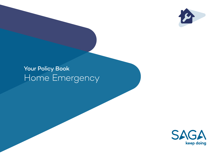

# Your Policy Book Home Emergency

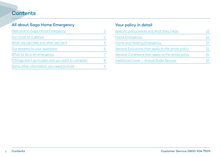## All about Saga Home Emergency

| Welcome to Saga Home Emergency                      |  |
|-----------------------------------------------------|--|
| Our cover at a glance                               |  |
| When we can help and when we can't                  |  |
| Our answers to your questions                       |  |
| What to do in an emergency                          |  |
| If things don't go to plan and you want to complain |  |
| Some other information you need to know             |  |

## Your policy in detail

| Specific policy words and what they mean          |    |
|---------------------------------------------------|----|
| Home Emergency                                    | 14 |
| Home and Heating Emergency                        |    |
| General Exclusions that apply to the whole policy |    |
| General Conditions that apply to the whole policy |    |
| Additional Cover - Annual Boiler Service          |    |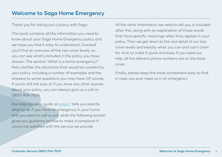## <span id="page-2-0"></span>Welcome to Saga Home Emergency

Thank you for taking out a policy with Saga.

This book contains all the information you need to know about your Saga Home Emergency policy and we hope you find it easy to understand. Overleaf you'll find an overview of the two cover levels, so you can see what's included in the policy you have chosen. The section 'What is a home emergency?' then clarifies the situations that would be covered by your policy, including a number of examples and the answers to some questions you may have. Of course, if you're still not sure, or if you have any other queries about your policy, you can always give us a call on 0800 904 7509.

Our step-by-step guide on [page 7](#page-6-0) tells you exactly what to do if you have an emergency in your home and you need to call us out, while the following section gives you guidance on how to make a complaint if you're not satisfied with the service we provide.

All the other information we need to tell you is included after this, along with an explanation of those words that have specific meanings when they appear in your policy. Then we get down to the real detail of our two cover levels and exactly what you can and can't claim for. And, to make it quick and easy if you need our help, all the relevant phone numbers are on the back cover.

Finally, please keep this book somewhere easy to find, in case you ever need us in an emergency.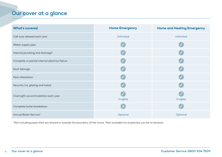## <span id="page-3-0"></span>Our cover at a glance

| <b>What's covered</b>                          | <b>Home Emergency</b> | <b>Home and Heating Emergency</b> |
|------------------------------------------------|-----------------------|-----------------------------------|
| Call outs allowed each year                    | Unlimited             | Unlimited                         |
| Water supply pipe                              |                       |                                   |
| Internal plumbing and drainage*                |                       |                                   |
| Complete or partial internal electrics failure |                       |                                   |
| Roof damage                                    |                       |                                   |
| Pest infestation                               |                       |                                   |
| Security (i.e. glazing and locks)              |                       |                                   |
| Overnight accommodation each year              | 3 nights              | 3 nights                          |
| Complete boiler breakdown                      | - X                   |                                   |
| Annual Boiler Service <sup>+</sup>             | Optional              | Optional                          |

\*Not including pipes that are shared or outside the boundary of the home. †Not available for properties you let to tenants.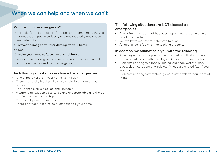# <span id="page-4-0"></span>When we can help and when we can't

### What is a home emergency?

Put simply, for the purposes of this policy a 'home emergency' is an event that happens suddenly and unexpectedly and needs immediate action to:

#### a) prevent damage or further damage to your home;

#### and/or

#### b) make your home safe, secure and habitable.

The examples below give a clearer explanation of what would and wouldn't be classed as an emergency.

#### The following situations are classed as emergencies…

- One or more toilets in your home won't flush
- There is a totally blocked drain within the boundary of your property
- The kitchen sink is blocked and unusable
- A water pipe suddenly starts leaking uncontrollably and there's nothing you can do to stop it
- You lose all power to your home
- There's a wasps' nest inside or attached to your home.

### The following situations are NOT classed as emergencies…

- A leak from the roof that has been happening for some time or is not unexpected
- Your toilet takes several attempts to flush
- An appliance is faulty or not working properly.

#### In addition, we cannot help you with the following…

- An emergency that happens due to something that you were aware of before (or within 14 days of) the start of your policy
- Problems relating to a roof, plumbing, drainage, water supply pipes, electrics, doors or windows, if these are shared (e.g. If you live in a flat)
- Problems relating to thatched, glass, plastic, felt, tarpaulin or flat roofs.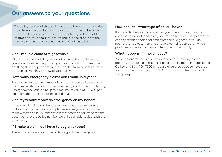<span id="page-5-0"></span>The policy section of this book gives details about the individual cover levels, the number of claims you can make and whether parts and labour are included – so hopefully you'll have all the information you need. However, to make it easier here are the answers to some of the questions we are often asked.

### Can I make a claim straightaway?

Like all insurance policies, you're not covered for problems that you knew about before you bought this policy. Nor can we cover anything that happens before the 15th day from your policy start date, unless you have renewed your policy.

#### How many emergency claims can I make in a year?

There is no limit to the number of claims you can make across all our cover levels. For both Home Emergency and Home and Heating Emergency you can claim up to a maximum value of £2,000 per claim for labour, parts, materials and VAT.

#### Can my tenant report an emergency on my behalf?

If you are a landlord and have given your tenant permission to make a claim under this policy, please ensure you have provided them with the policy number to quote when they call. If the tenant does not have the policy number, we will be unable to deal with the emergency.

### If I make a claim, do I have to pay an excess?

There is no excess applicable under Saga Home Emergency.

### How can I tell what type of boiler I have?

If your boiler heats a tank of water, you have a conventional or condensing boiler. Condensing boilers can be more energy efficient as they extract additional heat from the flue gases. If you do not have a hot water tank, you have a combination boiler, which produces hot water on demand from the mains supply.

#### What happens if I move house?

You can transfer your cover to your new home as long as the property is eligible and the boiler passes an inspection if applicable. Call us on 0800 904 7509 if you are unsure, but please note that we may have to charge you a £10 administration fee to amend your policy.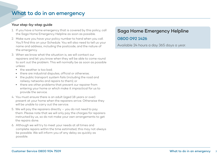### <span id="page-6-0"></span>Your step-by-step guide

- 1. If you have a home emergency that is covered by this policy, call the Saga Home Emergency Helpline as soon as possible.
- 2. Make sure you have your policy number to hand when you call. You'll find this on your Schedule. You will also need to tell us your name and address, including the postcode, and the nature of the emergency.
- 3. When we know what the situation is, we will contact our repairers and let you know when they will be able to come round to sort out the problem. This will normally be as soon as possible unless:
	- the weather is too bad;
	- there are industrial disputes, official or otherwise;
	- the public transport system fails (including the road and railway networks and repairs to them); or
	- there are other problems that prevent our repairer from entering your home or which make it impractical for us to provide the service.
- 4. You must ensure there is an adult (aged 18 years or over) present at your home when the repairers arrive. Otherwise they will be unable to carry out the service.
- 5. We will pay the repairers directly you do not need to pay them. Please note that we will only pay the charges for repairers instructed by us, so do not make your own arrangements to get the repairs done.
- 6. Although we will try to meet your needs at all times and complete repairs within the time estimated, this may not always be possible. We will inform you of any delay as quickly as possible.

## Saga Home Emergency Helpline

## 0800 092 1426

Available 24 hours a day 365 days a year.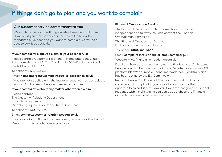# If things don't go to plan and you want to complain

#### Our customer service commitment to you

We aim to provide you with high levels of service at all times. However, if you feel that our service has fallen below the standard you expect and you want to complain, we will do our best to sort it out quickly.

#### If your complaint is about a claim or your boiler service:

Please contact: Customer Relations – Home Emergency, Inter Partner Assistance SA, The Quadrangle, 106-118 Station Road, Redhill, Surrey RH1 1PR

#### Telephone: 01737 815913

#### Email: homeemergencycomplaints@axa-assistance.co.uk

If you are not satisfied with the insurer's response, you can ask the Financial Ombudsman Service to review your case.

#### If your complaint is about any matter other than a claim:

Please contact: The Customer Relations Department Saga Services Limited Middelburg Square, Folkestone, Kent CT20 1AZ

Telephone: 01303 771160

#### Email: services.customer-relations@saga.co.uk

If you are not satisfied with our response, you can ask the Financial Ombudsman Service to review your case.

#### Financial Ombudsman Service

The Financial Ombudsman Service resolves disputes in an independent and fair way. You can contact the Financial Ombudsman Service at:

The Financial Ombudsman Service Exchange Tower, London E14 9SR

Telephone: 0800 023 4567

#### Email: complaint.info@financial-ombudsman.org.uk

Website: www.financial-ombudsman.org.uk

Details on how to take your complaint to the Financial Ombudsman Service can also be found on the Online Dispute Resolution (ODR) platform http://ec.europa.eu/consumers/odr/index\_en.htm, which has been set up by the EU Commission.

Important note: The Financial Ombudsman Service will only consider your complaint if you have already given us the opportunity to sort it out. However, if we have not given you a final response within eight weeks you can go straight to the Financial Ombudsman Service with your complaint.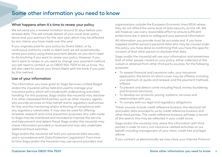### <span id="page-8-0"></span>What happens when it's time to renew your policy

We will send you a renewal invitation around 21 days before your renewal date. This will include details of your cover level, policy terms and your premium for the next year, which may be affected by any claims you have made over the year.

If you originally paid for your policy by Direct Debit, or by continuous authority credit or debit card, we will automatically renew your policy using these payment details, so you don't need to do anything if you want to renew your policy. However, if you don't want to renew, or you want to change your payment method, you will need to contact us on 0800 904 7509 to let us know. You will also need to cancel your Direct Debit with the bank if you paid by this method.

### Use of your information

The information you have given to Saga Services Limited (Saga) and/or the insurer(s) will be held and used to manage your insurance policy, which will include both underwriting and claim handling. For this purpose, Saga and/or the insurer(s) may disclose it to other interested third parties, such as other insurers, agents who provide services on their behalf and to regulatory authorities for this and the monitoring and/or enforcing of compliance with any regulatory rules/codes. It may also be used for offering renewals, research and crime prevention purposes. Any calls made to Saga may be monitored and recorded to improve the service and help prevent and detect fraud. Saga and/or the insurer(s) may check information provided or received and may also undertake additional fraud searches.

Saga and/or the insurer(s) will hold your personal data securely and in accordance with Data Protection Legislation\*. From time to time Saga and/or the insurer(s) may use service providers and organisations outside the European Economic Area (EEA) where they do not afford the same level of data security as the UK. We will, however, use every reasonable effort to ensure sufficient protections are in place to safeguard your personal information.

All information you provide must be accurate and, if you have supplied another person's personal data who may be insured under the policy, you have done so confirming that you have the specific consent of that other person to disclose that data.

Saga and/or the insurer(s) will use your information and sometimes that of other people named on your policy, either collected at the outset or obtained from other third party sources, for the following purposes:

- To assess financial and insurance risks, your insurance application, the terms on which cover may be offered, including your premium at quote and renewal, and the payment methods offered;
- To prevent and detect crime including fraud, money laundering and financial sanctions;
- To develop our products, pricing, systems, services and relationships with you;
- To comply with our legal and regulatory obligations.

These sources include credit reference bureaus, the electoral roll and public data provided to us by credit reference bureaus and other third parties. The credit reference bureaus will keep a record of the search; this may be reflected in your credit score.

Saga and/or the insurer(s) may share this information with third parties in order to carry out insurance-related activities on our behalf, including management of your claim, credit hire and legal advice.

If you contact us electronically we may store your Internet Protocol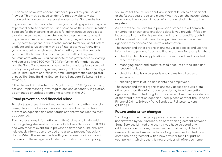(IP) address or your telephone number supplied by your Service Provider. This may be used to identify repeat website visits, fraudulent behaviour or mystery shoppers using Saga websites.

Saga uses the data they collect from you, including special categories of personal data, to contact you and personalise their communication. Saga and/or the insurer(s) also use it for administrative purposes to provide the service you requested and for preparing quotations. If Saga has obtained your permission to do so, they will also contact you by post, telephone, email or other means to tell you about offers, products and services that may be of interest to you. At any time you can opt out of receiving such information, revise the products you would like to hear about or change the method they use to communicate with you. You can update these preferences by visiting MySaga or calling 0800 904 7509. For further information about how the Saga Group uses your personal information, please see their Privacy Policy at www.saga.co.uk/privacy-policy or contact the Saga Group Data Protection Officer by email: data.protection@saga.co.uk or post: The Saga Building, Enbrook Park, Sandgate, Folkestone, Kent CT20 3SE.

\* The General Data Protection Regulation ((EU) 2016/679) and any national implementing laws, regulations and secondary legislation, as amended or updated from time to time, in the UK.

#### Fraud prevention and financial crime

To help Saga prevent fraud, money laundering and other financial crime, the information you provide may be submitted to fraud prevention agencies and other organisations whose records may be searched.

The insurer shares information with the Claims and Underwriting Exchange Register, run by Insurance Database Services Ltd (IDSL), and with other relevant fraud prevention databases. The aim is to help check information provided and also to prevent fraudulent claims. When the insurer deals with your request for insurance, it may search these registers. Under the conditions of your policy,

you must tell the insurer about any incident (such as an accident or theft) that could lead to a claim. When you tell the insurer about an incident, the insurer will pass information relating to it to the registers.

As part of the insurer's fraud prevention process it will complete a number of enquiries to check the details you provide. If false or inaccurate information is provided and fraud is identified, details will be passed to fraud prevention agencies. Law enforcement agencies may access and use this information.

The insurer and other organisations may also access and use this information to prevent fraud and financial crime, for example, when:

- checking details on applications for credit and credit-related or other facilities;
- managing credit and credit-related accounts or facilities and recovering debt;
- checking details on proposals and claims for all types of insurance;
- checking details of job applicants and employees.

The insurer and other organisations may access and use, from other countries, the information recorded by fraud prevention agencies in the United Kingdom. If you would like to receive details of the fraud prevention agencies used, please contact the Head of Financial Crime, Enbrook Park, Sandgate, Folkestone, Kent CT20 3SE.

#### Future underwriter changes

Your Saga Home Emergency policy is currently provided and underwritten by your insurer(s) as part of an agreement between Saga Services Limited and them. If you have selected any additional cover options, these may be provided by different insurers. At some time in the future Saga Services Limited may enter into an agreement with a new provider for all or part of your policy, in which case this new provider will offer you home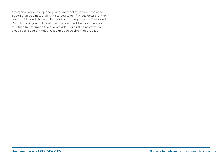emergency cover to replace your current policy. If this is the case, Saga Services Limited will write to you to confirm the details of the new provider and give you details of any changes to the Terms and Conditions of your policy. At this stage you will be given the option to refuse transferral to the new provider. For further information, please see Saga's Privacy Policy at saga.co.uk/privacy-policy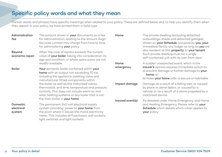# <span id="page-11-0"></span>Specific policy words and what they mean

Certain words and phrases have specific meanings when related to your policy. These are defined below and, to help you identify them when they appear in your policy, we have printed them in bold type.

| Administration<br>fee            | The amount shown in your documents as a fee<br>for administration, relating to the amount Saga<br>Services Limited may charge from time to time<br>for administering your policy.                                                  | Home             | The private dwelling (excluding detached<br>outbuildings, sheds and detached garages)<br>shown on your Schedule occupied by you, your<br>immediate family, any lodger so long as you are |  |
|----------------------------------|------------------------------------------------------------------------------------------------------------------------------------------------------------------------------------------------------------------------------------|------------------|------------------------------------------------------------------------------------------------------------------------------------------------------------------------------------------|--|
| Beyond<br>economic repair        | When the cost of repairs exceeds the current<br>value of your boiler, taking into consideration its<br>age and condition, or where spare parts are not                                                                             |                  | also resident at this property, or your tenant.<br>Such private dwelling must be a single<br>self-contained unit with its own front door.                                                |  |
|                                  | readily available.                                                                                                                                                                                                                 | Home             | A sudden unexpected event, which in the                                                                                                                                                  |  |
| Boiler                           | Your domestic boiler contained within your<br>home with an output not exceeding 70 kw,<br>including the appliance isolating valve and<br>manufacturer fitted components within                                                     | emergency        | insurer's opinion requires immediate action to:<br>a) prevent damage or further damage to your<br>home: or<br>b) make your home safe or secure or habitable.                             |  |
|                                  | the boiler as well as the motorised valves,<br>thermostat, and time, temperature and pressure<br>controls. This does not include warm air and<br>solar heating systems or any boiler that is not<br>the main boiler in your home.  | Impact damage    | Damage as a result of a falling tree, or caused<br>by plane or aerial debris, or caused by a<br>vehicle, or as a result of a stone propelled by a<br>motorised device.                   |  |
|                                  |                                                                                                                                                                                                                                    | Insured event(s) | As detailed under Home Emergency, and Home                                                                                                                                               |  |
| Domestic<br>electrical<br>system | The permanent 240 volt electrical supply<br>system providing power to your home from<br>the point where it leaves the mains electricity<br>meter. This includes all fuse boxes, wall sockets.<br>light switches and light sockets. |                  | and Heating Emergency. Please refer to your<br><b>Schedule</b> which details which cover applies to<br>your policy.                                                                      |  |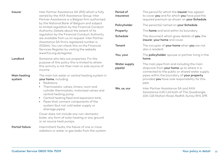| Insurer                            | Inter Partner Assistance SA (IPA) which is fully<br>owned by the AXA Assistance Group. Inter<br>Partner Assistance is a Belgian firm authorised                                                                                                                             | Period of<br>insurance  | The period for which the insurer has agreed<br>to cover you and for which you have paid the<br>required premium as shown on your Schedule. |
|------------------------------------|-----------------------------------------------------------------------------------------------------------------------------------------------------------------------------------------------------------------------------------------------------------------------------|-------------------------|--------------------------------------------------------------------------------------------------------------------------------------------|
|                                    | by the National Bank of Belgium and subject<br>to limited regulation by the Financial Conduct                                                                                                                                                                               | Policyholder            | The person(s) named on your Schedule.                                                                                                      |
|                                    | Authority. Details about the extent of its                                                                                                                                                                                                                                  | Property                | The <b>home</b> and land within its boundary.                                                                                              |
|                                    | regulation by the Financial Conduct Authority<br>are available from us on request. Inter Partner<br>Assistance SA firm's registered number is<br>202664. You can check this on the Financial<br>Services Register by visiting the website                                   | Schedule                | The document which gives details of you, the<br>insurer, your home and cover.                                                              |
|                                    |                                                                                                                                                                                                                                                                             | Tenant                  | The occupier of your home when you are not<br>also a resident.                                                                             |
| Landlord<br>Main heating<br>system | www.fca.org.uk/register.<br>Someone who lets out properties. For the                                                                                                                                                                                                        | You, your               | The <b>policyholder</b> , spouse or partner living in the<br>home.                                                                         |
|                                    | purpose of this policy this is limited to where<br>this activity is not their main or sole source of<br>income.                                                                                                                                                             | Water supply<br>pipe(s) | The main pipe from and including the main<br>stopcock from your home up to where it is<br>connected to the public or shared water supply   |
|                                    | The main hot water or central heating system in<br>your home, including:<br>Radiators:<br>$\bullet$                                                                                                                                                                         |                         | pipes within the boundary of your property<br>provided you have sole responsibility for this<br>pipe.                                      |
|                                    | Thermostatic valves, timers, room and<br>cylinder thermostats, motorised valves and<br>central heating pump;<br>• Central heating feed and expansion tank;<br>Pipes that connect components of the<br>$\bullet$<br>system (but not cold water supply or<br>drainage pipes). | We, us, our             | Inter Partner Assistance SA and AXA<br>Assistance (UK) Ltd both of The Quadrangle,<br>106-118 Station Road, Redhill, Surrey RH1 1PR.       |
|                                    | Cover does not include any non-domestic<br>boiler, any form of solar heating or any ground<br>or air source heat pumps                                                                                                                                                      |                         |                                                                                                                                            |
| <b>Partial failure</b>             | Intermittent faults, the failure of one or more<br>radiators or water or gas leaks from the system.                                                                                                                                                                         |                         |                                                                                                                                            |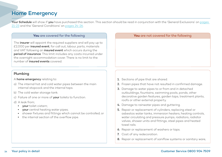# <span id="page-13-0"></span>Home Emergency

Your Schedule will show if you have purchased this section. This section should be read in conjunction with the 'General Exclusions' on pages [21-23](#page-20-0) and the 'General Conditions' on [pages 24-26.](#page-23-0)

The **insurer** will appoint the required suppliers and will pay up to £2,000 per *insured event*, for call out, labour, parts, materials and VAT following an *insured event* which occurs during the period of insurance. This limit includes any costs incurred under the overnight accommodation cover. There is no limit to the number of insured events covered.

### Plumbing

- A home emergency relating to:
- a) The internal hot and cold water pipes between the main internal stopcock and the internal taps.
- b) The cold water storage tank.
- c) Failure of one or more of your toilets to function.
- d) A leak from;
	- vour toilet cistern;
	- your central heating water pipes;
	- shower fixtures and fittings which cannot be controlled; or
	- the internal section of the overflow pipe.

#### **You** are covered for the following **You** are not covered for the following

- 1. Sections of pipe that are shared.
- 2. Frozen pipes that have not resulted in confirmed damage.
- 3. Damage to water pipes to or from and in detached outbuildings, fountains, swimming pools, ponds, other decorative garden features, garden taps, treatment plants, roofs or other external property.
- 4. Damage to rainwater pipes and guttering.
- 5. Repair or replacement of cylinders, replacing steel or asbestos water tanks, immersion heaters, heating controls, water circulating and pressure pumps, radiators, radiator valves, shower units and fittings, steel pipes and heated towel rails.
- 6. Repair or replacement of washers or taps.
- 7. Cost of any redecoration.
- 8. Repair or replacement of saniflow systems or sanitary ware,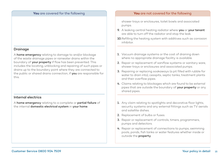#### Drainage

A home emergency relating to damage to and/or blockage of the waste drainage pipes or rainwater drains within the boundary of your property if flow has been prevented. This includes the locating, unblocking and repairing of such pipes or drains up to the boundary point where they are connected to the public or shared drains connection, if you are responsible for this.

#### Internal electrics

A home emergency relating to a complete or partial failure of the internal domestic electrical system in your home.

#### **You** are covered for the following **You** are not covered for the following

shower trays or enclosures, toilet bowls and associated pumps.

- 9. A leaking central heating radiator where you or your tenant are able to turn off the radiator and stop the leak.
- 10. Refilling the heating system with additives such as corrosion inhibitor.
- 1. Vacuum drainage systems or the cost of draining down where no appropriate drainage facility is available.
- 2. Repair or replacement of saniflow systems or sanitary ware, shower trays or enclosures and associated pumps.
- 3. Repairing or replacing soakaways (a pit filled with rubble for water to drain into), cesspits, septic tanks, treatment plants and their overflow pipes.
- 4. Claims relating to blockages which are found to be external pipes that are outside the boundary of your property or any shared pipes.
- 1. Any claim relating to spotlights and decorative floor lights, security systems and any external fittings such as TV aerials and satellite dishes.
- 2. Replacement of bulbs or fuses.
- 3. Repair or replacement of controls, timers, programmers, pumps and detectors.
- 4. Repair or replacement of connections to pumps, swimming pools, ponds, fish tanks or water features whether inside or outside the property.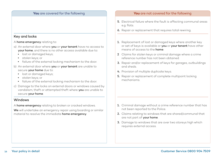#### Key and locks

A home emergency relating to:

- a) An external door where you or your tenant have no access to your home, and there is no other access available due to:
	- lost or damaged keys;
	- stolen keys; or
	- failure of the external locking mechanism to the door.
- b) An external door where you or your tenant are unable to secure your home due to:
	- lost or damaged keys;
	- stolen keys; or
	- failure of the external locking mechanism to the door.
- c) Damage to the locks on external doors or windows caused by vandalism, theft or attempted theft where you are unable to secure your home.

#### **Windows**

A home emergency relating to broken or cracked windows.

We will undertake an emergency repair using boarding or similar material to resolve the immediate home emergency.

#### **You** are covered for the following **You** are not covered for the following

- 5. Electrical failure where the fault is affecting communal areas e.g. flats.
- 6. Repair or replacement that requires total rewiring.
- 1. Replacement of lost or damaged keys where another key or set of keys is available or you or your tenant have other means of access to the home.
- 2 Claims for stolen keys or criminal damage where a crime reference number has not been obtained.
- 3. Repair and/or replacement of keys for garages, outbuildings and sheds.
- 4. Provision of multiple duplicate keys.
- 5. Repair or replacement of complete multipoint locking mechanisms.

- 1. Criminal damage without a crime reference number that has not been reported to the Police.
- 2. Claims relating to windows that are shared/communal that are not part of your home.
- 3. Damage to windows that are over two storeys high which requires external access.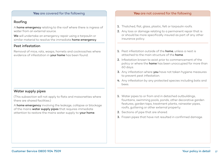### Roofing

A home emergency relating to the roof where there is ingress of water from an external source.

We will undertake an emergency repair using a tarpaulin or similar material to resolve the immediate **home emergency**.

#### Pest infestation

Removal of mice, rats, wasps, hornets and cockroaches where evidence of infestation in your home has been found.

#### Water supply pipes

(This subsection will not apply to flats and maisonettes where there are shared facilities.)

A home emergency involving the leakage, collapse or blockage of the mains water supply pipes that requires immediate attention to restore the mains water supply to your home.

#### **You** are covered for the following **You** are not covered for the following

- 1. Thatched, flat, glass, plastic, felt or tarpaulin roofs.
- 2. Any loss or damage relating to a permanent repair that is or should be more specifically insured as part of any other insurance policy.
- 1. Pest infestation outside of the **home**, unless a nest is attached to the main structure of the **home**
- 2. Infestation known to exist prior to commencement of the policy or where the **home** has been unoccupied for more than 60 days.
- 3. Anv infestation where you have not taken hygiene measures to prevent pest infestation.
- 4. Any infestation by any protected species including bats and bees.
- 1. Water pipes to or from and in detached outbuildings, fountains, swimming pools, ponds, other decorative garden features, garden taps, treatment plants, rainwater pipes, roofs, guttering or other external property.
- 2. Sections of pipe that are shared.
- 3. Frozen pipes that have not resulted in confirmed damage.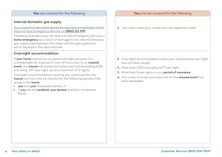#### Internal domestic gas supply

Any suspected gas leaks should be reported immediately to the National Gas Emergency Service on 0800 111 999.

Following attendance by the National Gas Emergency Service, a home emergency as a result of damage to the internal domestic gas supply pipe between the meter and the gas appliance, which resulted in the reported leak.

#### Overnight accommodation

If your home cannot be occupied overnight because it is uninhabitable for a period of over 48 hours due to an *insured* event, the insurer will reimburse hotel costs not exceeding £150 (including VAT) per night, up to a maximum of 3 nights.

Overnight accommodation must be pre-authorised by the insurer and can only be claimed for the following persons that reside in the home:

- **vou** and **your** immediate family; or
- if you are the landlord, your tenant and their immediate family.

#### **You** are covered for the following **You** are not covered for the following

1. Any claim relating to a leak from the appliance itself.

- 1. Overnight accommodation where pre-authorisation per night has not been sought.
- 2. More than £150 (including VAT) per night.
- 3. More than three nights in any period of insurance.
- 4. Any costs incurred once the limit for the **insured event** has been exceeded.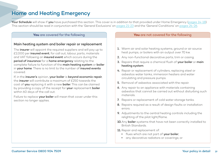# <span id="page-18-0"></span>Home and Heating Emergency

Your Schedule will show if you have purchased this section. This cover is in addition to that provided under Home Emergency ([pages 14-18\)](#page-13-0). This section should be read in conjunction with the 'General Exclusions' on [pages 21-23](#page-20-0) and the 'General Conditions' on [pages 24-26](#page-23-0).

#### Main heating system and boiler repair or replacement

The **insurer** will appoint the required suppliers and will pay up to £2,000 per insured event, for call out, labour, parts, materials and VAT following an *insured event* which occurs during the period of insurance for a home emergency relating to the complete failure to function of the main heating system or boiler in **your home**. There is no limit to the number of **insured events** covered.

If, in the insurer's opinion, your boiler is beyond economic repair, the insurer will contribute a maximum of £250 towards the cost of you replacing it with a new boiler. This can be claimed by providing a copy of the receipt for your replacement boiler within 60 days of the call out.

Failure to replace your boiler will mean that cover under this section no longer applies.

#### **You** are covered for the following **You** are not covered for the following

- 1. Warm air and solar heating systems, ground or air source heat pumps, or boilers with an output over 70 kw.
- 2. Any non-functional decorative parts, trim or casing.
- 3. Repairs that require a chemical flush of your boiler or main heating system.
- 4. Repair or replacement of cylinders, replacing steel or asbestos water tanks, immersion heaters and water circulating and pressure pumps.
- 5. Removal of asbestos associated with the repair.
- 6. Any repair to an appliance with materials containing asbestos that cannot be carried out without disturbing such materials.
- 7. Repairs or replacement of cold water storage tanks.
- 8. Repairs required as a result of design faults or installation errors.
- 9. Adjustments to the central heating controls including the relighting of the pilot light/flame.
- 10. Any boiler systems that have not been correctly installed to British Standards.
- 11. Repair and replacement of:
	- flues which are not part of your boiler;
	- any decorative radiators or coverings; or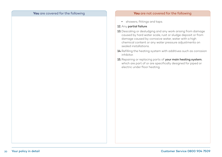#### **You** are covered for the following **You** are not covered for the following

**•** showers, fittings and taps.

#### 12. Any partial failure.

- 13. Descaling or desludging and any work arising from damage caused by hard water scale, rust or sludge deposit or from damage caused by corrosive water, water with a high chemical content or any water pressure adjustments on sealed installations.
- 14. Refilling the heating system with additives such as corrosion inhibitor.
- 15. Repairing or replacing parts of your main heating system, which are part of or are specifically designed for piped or electric under floor heating.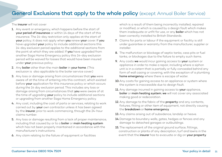# <span id="page-20-0"></span>General Exclusions that apply to the whole policy (except Annual Boiler Service)

The *insurer* will not cover

- 1. Any event or emergency, which happens before the start of your period of insurance or within 14 days of the start of this insurance. The 14-day restriction only applies at the start of your policy; it does not apply when you renew your cover. If you have upgraded **your** policy to include additional sections this 14-day exclusion period applies to the additional sections from the point at which they are added. If you have upgraded from another Saga Home Emergency policy this 14-day exclusion period will be waived for losses that would have been insured under **your** previous policy.
- 2. Any boiler other than the main boiler in your home. (This exclusion is also applicable to the boiler service cover.)
- 3. Any loss or damage arising from circumstances that you were aware of at the time of entering into this contract, which existed before your application for this insurance policy or which occurs during the 14 day exclusion period. This includes any loss or damage arising from circumstances that you were aware of at the time of upgrading **your** policy to include additional sections or upgrading from another Saga Home Emergency policy.
- 4. Any cost, including the cost of parts or services, relating to work carried out by **your** own contractor unless it has been agreed by the *insurer*, prior to work commencing, through the 24-hour claims number.
- 5. Any loss or damage resulting from a lack of proper maintenance, including that caused by or to a **boiler** or **main heating system** which has not been properly maintained in accordance with the manufacturer's instructions.
- 6. Any claim relating to the failure of equipment or facilities

which is a result of them being incorrectly installed, repaired or modified, or which is caused by a design fault which makes them inadequate or unfit for use, or any **boiler** which has not been correctly installed to British Standards.

- 7. Claims for parts or labour if the equipment or facility is still under guarantee or warranty from the manufacturer, supplier or installer.
- 8. The malfunction or blockage of septic tanks, cess pits or fuel tanks, or blockages due to the failure to empty such items.
- 9. Any costs we would incur gaining access to your system or appliance in order to make a repair, including where a siphon unit is in a cistern that is partially or fully concealed behind any form of wall casing or covering, with the exception of a plumbing home emergency where there is escape of water.
- 10. Any costs for gaining access to an appliance or system where the system is inaccessible due to design fault.
- 11. Any damage incurred in gaining access to your appliance, boiler or main heating system; we will not cover any associated making good or redecoration.
- 12. Any damage to the fabric of the **property** and any contents, fixtures, fitting or other item of equipment, not directly causing the **breakdown** or **home emergency**.
- 13. Any claims arising out of subsidence, landslip or heave.
- 14. Damage to boundary walls, gates, hedges or fences and any damage to detached garages or outbuildings.
- 15. The replacement of the original ground surface, fittings, construction or plants of any description, turf and lawns in the event that the insurer has to evacuate or dig on your property.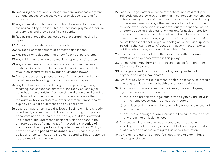- 16. Descaling and any work arising from hard water scale or from damage caused by excessive water or sludge resulting from corrosion.
- 17. Any claim relating to the interruption, failure or disconnection of the mains utility supplies. This includes non-payment or failure to purchase and provide sufficient supply.
- 18. Replacing or repairing any steel, lead or central heating iron pipes.
- 19. Removal of asbestos associated with the repair.
- 20. Any repair or replacement of domestic appliances.
- 21. Any repair or replacement of under floor heating systems.
- 22. Any fall in market value as a result of repairs or reinstatement.
- 23. Any consequences of war, invasion, act of foreign enemy, hostilities (whether war be declared or not), civil war, rebellion, revolution, insurrection or military or usurped power.
- 24. Damage caused by pressure waves from aircraft and other aerial devices travelling at sonic or supersonic speeds.
- 25. Any legal liability, loss or damage to any property, or any resulting loss or expense directly or indirectly caused by or contributing to or arising from ionising radiation or radioactive contamination from nuclear fuel or nuclear waste; or the radioactive, toxic, explosive or other hazardous properties of explosive nuclear equipment or its nuclear parts.
- 26. Loss, damage, or any resulting loss or liability or injury directly or indirectly caused by, contributed to or arising from pollution or contamination unless it is: caused by a sudden, identified, unexpected and unforeseen accident which happens in its entirety at a specific moment of time during the period of insurance at the property; and reported to us within 30 days of the end of the **period of insurance**. In which case, all such pollution or contamination will be considered to have happened at the time of such accident.
- 27. Loss, damage, cost or expense of whatever nature directly or indirectly caused by, resulting from or in connection with any act of terrorism regardless of any other cause or event contributing at the same time or in any other sequence to the loss. For the purpose of this exception an act of terrorism means the use, or threatened use, of biological, chemical and/or nuclear force by any person or group of people whether acting alone or on behalf of or in connection with any organisation(s) or government(s) committed for political, religious, ideological or similar purposes including the intention to influence any government and/or to put the public or any section of the public in fear.
- 28. Any losses that are not directly associated with the insured event unless expressly stated in this policy.
- 29. Claims where your home has been unoccupied for more than 60 consecutive days.
- 30.Damage caused by a malicious act by you, your tenant or anyone else living in your home.
- 31. Any fixture where its replacement is solely necessary as a result of changes in legislation or health and safety guidelines.
- 32. Any loss or damage caused by the *insurer*, their employees, agents or sub-contractors where:
	- a) there is no breach of a legal duty owed to you by the insurer or their employees, agents or sub-contractors;
	- b) such loss or damage is not a reasonably foreseeable result of such a breach; or
	- c) any loss or damage, or any increase in the same, results from any breach or omission by you.
- 33. Any losses relating to business interests you may have including, without limitation, loss of profits, loss of opportunity or of business or losses relating to business interruption.
- 34. Any claims relating to shared facilities where you don't have sole responsibility.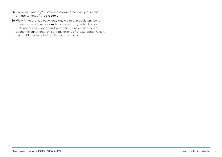- 35. Any cover where you are not the owner, the occupier or the private tenant of the property.
- 36. We will not provide cover, pay any claim or provide any benefit if doing so would expose us to any sanction, prohibition or restriction under United Nations resolutions or the trade or economic sanctions, laws or regulations of the European Union, United Kingdom or United States of America.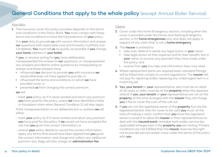#### <span id="page-23-0"></span>Your duty

1. The insurance cover this policy provides depends on the terms and conditions in this Policy Book. You must comply with these terms and conditions to have the full protection of your policy.

It is your duty to provide us with correct information and answer our questions with reasonable care and honestly, truthfully and completely. You must tell us as quickly as possible if you change your home address or your boiler.

If you, or anyone acting for you, have deliberately misrepresented the answer to our questions, or misrepresented any answers provided to online questions by manipulating an answer and these answers have:

- **•** influenced our decision to provide you with insurance we would otherwise not have agreed to provide, or
- $\cdot$  influenced the terms and conditions on which we have provided cover, or
- prevented us from charging the correct premium,

#### we will:

- treat your policy as if it never existed and return any premium you have paid for the policy, unless we have identified a false or fraudulent claim when General Condition 11 will also apply.

If the misrepresentation is not deliberate but is careless we will either:

- treat your policy as if it never existed and return any premium you have paid for the policy if we would not have accepted the risk had you given the correct information; or
- amend your policy details to record the correct information, apply any terms that would have been applied had you given the correct information, and charge and collect any additional premium due. Saga will also charge an administration fee.

#### Claims

- 2. Cover under the Home Emergency section, including when the cover is provided under the Home and Heating Emergency section, is for **home emergencies** only and does not apply in respect of any claim that is not a **home emergency**.
- 3. The insurer is entitled to:
	- take over, defend or settle any legal action in your name;
	- take legal action at their expense and for their benefit, but in your name, to recover any payment they have made under the policy; and
	- receive from you any help and information they may need.
- 4. Where replacement parts are required basic standard fittings will be fitted that comply to current regulations. The insurer will not pay for repairing and/or replacing any undamaged item in a matching set.
- 5. You, your tenant or your representative, who must be an adult of 18 years or older, must be at the **property** when the repairers attend. If you, your tenant or your representative are not at the property at the time arranged with the insurer they will charge you a fee to cover the cost of the call out.
- 6. If you are not the registered owner of the property, but are the registered tenant, then for cover to be valid you must, at the time of making a claim, confirm that you have the registered owner's consent to allow the insurer or their representatives to deal with the **insured event**, remedial work and/or service (as applicable) emergencies in the **property you** are renting. If these conditions are not fulfilled then the insurer reserves the right not to provide service and/or cover under the terms of the policy with you.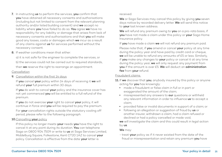- 7. In instructing us to perform the services, you confirm that you have obtained all necessary consents and authorisations (including but not limited to consent from the relevant planning authority and/or listed building consent) and we accept no liability where you have failed to do so. You agree we have no responsibility for any liability or damage that arises from lack of necessary consents and authorisations and that you will make good any losses, costs or damages which we incur as a result of any claims against us for services performed without the necessary consent.
- 8. If weather conditions mean that either:

a) it is not safe for the engineer to complete the services, or b) the services could not be carried out to required standards, then we reserve the right to rearrange an appointment.

#### Cancellation

9. Cancellation within the first 14 days

If you cancel your policy within 14 days of receiving it we will refund your full premium within 30 days.

If you do wish to cancel your policy and the insurance cover has not yet commenced you will be entitled to a full refund of the premium.

If you do not exercise your right to cancel your policy, it will continue in force and you will be required to pay the premium.

For your cancellation rights outside the statutory cooling off period, please refer to the following paragraph.

#### 10. Cancelling your policy

If this policy no longer meets your needs you have the right to cancel it at any point during its duration. You can telephone Saga on 0800 904 7509 or write to us at Saga Services Limited, Middelburg Square, Folkestone, Kent CT20 1AZ to cancel your policy. Cancellation is effective from the date your letter is

#### received.

We or Saga Services may cancel this policy by giving you seven days notice by recorded delivery letter. We will send this notice to your last known address.

We will refund any premium owing to you on a pro-rata basis, if you have not made a claim under this policy or your Saga Home Insurance policy.

If you have made a claim we will not refund any premium paid.

Please note that, if you amend or cancel your policy at any time during the policy year and have paid by credit card or cheque, we will be unable to refund any amounts of £5 or less. Similarly, if you make any changes to your policy or cancel it at any time during the policy year, we will only request any payment from you if the amount is over £5. We will deduct an administration fee from your refund.

#### Fraudulent claims

- 11. If we discover that you, anybody insured by this policy or anyone acting for you has knowingly:
	- made a fraudulent or false claim in full or in part or exaggerated the amount of the claim;
	- misrepresented any answers to our questions or withheld any relevant information in order to influence us to accept a claim;
	- provided false or invalid documents in support of a claim; or
	- following an allegation or suggestion of fraud by us or another insurer, withdrawn a claim, had a claim refused or declined or had a policy cancelled or made void,

we will investigate the claim and this could result in legal action by us.

#### We may:

- treat your policy as if it never existed from the date of the fraud or misrepresentation and retain any premium you have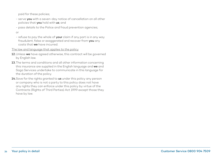paid for these policies;

- serve you with a seven-day notice of cancellation on all other policies that you hold with us; and
- pass details to the Police and fraud prevention agencies;

or

- refuse to pay the whole of your claim if any part is in any way fraudulent, false or exaggerated and recover from you any costs that we have incurred.

The law and language that applies to the policy

- 12. Unless we have agreed otherwise, this contract will be governed by English law.
- 13. The terms and conditions and all other information concerning this insurance are supplied in the English language and we and Saga Services undertake to communicate in this language for the duration of the policy.
- 14. Save for the rights granted to us under this policy any person or company who is not a party to this policy does not have any rights they can enforce under this policy by virtue of the Contracts (Rights of Third Parties) Act 1999 except those they have by law.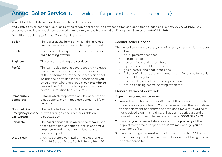## **Annual Boiler Service** (Not available for properties you let to tenants)

Your Schedule will show if you have purchased this service.

If you have any questions or queries relating to your boiler service or these terms and conditions please call us on: 0800 092 1439. Any suspected gas leaks should be reported immediately to the National Gas Emergency Service on 0800 111 999.

Definitions applying to Annual Boiler Service only:

| <b>Boiler</b>                      | The boiler at the <b>home</b> on which the <b>services</b><br>are performed or requested to be performed.                                                                                                                                                                                                                                  |
|------------------------------------|--------------------------------------------------------------------------------------------------------------------------------------------------------------------------------------------------------------------------------------------------------------------------------------------------------------------------------------------|
| <b>Breakdown</b>                   | A sudden and unexpected problem with your<br>main heating system.                                                                                                                                                                                                                                                                          |
| Engineer                           | The person providing the services.                                                                                                                                                                                                                                                                                                         |
| Fee(s)                             | The sum, calculated in accordance with clause<br>1, which you agree to pay us in consideration<br>of the performance of the services which shall<br>include the parts and labour identified to you<br>by us and/or, where applicable, our attendance<br>fee, and any VAT and other applicable taxes<br>payable in relation to such sum(s). |
| Immediately<br>dangerous           | A <b>boiler</b> which if operated or left connected to<br>a gas supply, is an immediate danger to life or<br>property.                                                                                                                                                                                                                     |
| National Gas<br><b>Call Centre</b> | The dedicated 24-hour UK-based service<br><b>Emergency Service</b> centre for all gas enquiries, available on<br>0800 111 999                                                                                                                                                                                                              |
| Service(s)                         | The <b>boiler</b> service that we provide to you under<br>these terms and conditions in relation to your<br><b>property</b> including but not limited to both<br>labour and parts.                                                                                                                                                         |
| We, us, our                        | AXA Assistance (UK) Ltd of the Quadrangle,<br>106-118 Station Road, Redhill, Surrey RH1 1PR.                                                                                                                                                                                                                                               |

#### Annual Boiler Service

The annual service is a safety and efficiency check, which includes the following:

- boiler performance test
- $\cdot$  controls check
- flue terminals and output test
- pipe work and ventilation check
- gas pressure and heat input check
- full test of all gas boiler components and functionality, seals and ignition system
- $\cdot$  disassembly and cleaning of key components
- advice on using central heating efficiently.

#### General terms of contract

#### Appointments and cancellation

- 1. You will be contacted within 28 days of the cover start date to arrange your appointment. You will receive a call the day before the appointment to confirm the date and time slot. If you have not received a call in this time, or have any queries around a booked appointment, please contact us on 0800 092 1439.
- 2. If you or your representative are not at the property at the appointment time arranged with us, we may charge you an attendance fee.
- 3. If you rearrange the service appointment more than 24 hours prior to your appointment, you may do so without being charged an attendance fee.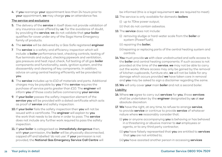4. If you rearrange your appointment less than 24 hours prior to your appointment, we may charge you an attendance fee.

#### The service and exclusions

- 5. The delivery of the service in itself does not provide validation of any insurance cover offered by us. For the avoidance of doubt, by providing the service, we do not validate that your boiler qualifies for cover under any of the Saga Home Emergency family of products.
- 6. The service will be delivered by a Gas Safe registered engineer.
- 7. The service is a safety and efficiency inspection which will include: a **boiler** performance test, checking controls, testing of flue terminals and output, checking pipework and ventilation, gas pressure and heat input check, full testing of all gas **boiler** components and functionality, seals, ignition system, and the disassembly and cleaning of key components. In addition, advice on using central heating efficiently will be provided to you.
- 8. The service includes up to £10 of materials and parts. Additional charges may be payable by you if the service requires the purchase of service parts greater than £10. The engineer will inform you of those costs before commencing your service.
- 9. If your boiler passes the safety inspection element of the service you will be provided with a dated certificate which acts as proof of service and safety inspection.
- 10. If your boiler fails the safety inspection then you will not be issued with a certificate. The engineer will explain to you the work that needs to be done in order to pass. The service does not include any further work required to pass the safety inspection.
- 11. If your boiler is categorised as immediately dangerous then, with your permission, the boiler will be physically disconnected, capped off and labelled 'do not use'. If your permission is not provided, the National Gas Emergency Service Call Centre will

be informed (this is a legal requirement we are required to meet).

- 12. The service is only available for domestic **boilers**:
	- (i) up to 70kw power output;
	- (ii) that do not contain asbestos.
- 13. The service does not include:
	- (i) removing sludge or hard-water scale from the boiler or system (PowerFlush);

(ii) repairing the boiler;

(iii) repairing or replacing parts of the central heating system and controls.

- 14. You must provide us with clear unobstructed and safe access to the boiler and central heating components. If such access is not provided at the time of the service, we may not be able to carry out the works. Where access may only be gained by the removal of kitchen cupboards, furniture etc, we will not be liable for any damage which occurs provided we have taken care in removal and you may be asked to sign a disclaimer regarding the same.
- 15. We will only cover your main boiler and not a second boiler.

#### Liability

- 16. Where we agree to carry out services for you, those services shall be undertaken by the engineer designated by us at our absolute discretion.
- 17. We have the right, at any time, to refuse to arrange service, to provide service or continue to provide service of whatever nature where we reasonably consider that:
	- (i) you or anyone accompanying you is behaving or has behaved in a threatening or abusive manner to our employees or agents, or to any third party contractor;
	- (ii) you have falsely represented that you are entitled to services that you are not entitled to;
	- (iii) you have assisted another person in accessing services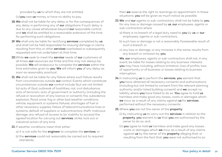provided by us to which they are not entitled:

 $(iv)$ you owe us money or have no ability to pay.

- 18. We shall not be liable for any delay or for the consequences of any delay in performing any of our obligations if such delay is due to any cause whatsoever beyond our reasonable control, and we shall be entitled to a reasonable extension of the time for performing such obligations.
- 19. We shall only be liable for rectifying services completed by us and shall not be held responsible for ensuing damage or claims resulting from this or other services overlooked or subsequently requested and not undertaken at that time.
- 20. While we seek to meet the service needs of our customers at all times, our resources are finite and this may not always be possible. We will endeavour to complete the services within the time estimates given to you. We will inform you of any delay as soon as reasonably practical.
- 21. We shall not be liable for any failure where such failure results from circumstances outside our control. Events which constitute circumstances outside our control include (but are not limited to) acts of God; outbreak of hostilities; riot; civil disturbance; acts of terrorism; acts of government or authority (including the refusal or revocation of any licence or consent); fire; subsidence; explosion; flood; snow, fog or other bad weather conditions; vehicle, equipment or systems failures; shortages of fuel or other necessary supplies; failure of telecommunications lines or systems; default of suppliers or subcontractors; theft; malicious damage; any refusal of access to (or inability to access) the agreed location for carrying out services; strike, lock out or industrial action of any kind.
- 22. If weather conditions mean that either:
	- a) it is not safe for the engineer to complete the services; or
	- b) the services could not reasonably be carried out to required standards,

then we reserve the right to rearrange an appointment. In these situations, you will be given as much notice as possible.

- 23. We and our agents or sub-contractors, shall not be liable to you for any loss or damage caused by us, our employees, agents or sub-contractors where:
	- a) there is no breach of a legal duty owed to you by us or our employees, agents or sub-contractors;
	- b) such loss or damage is not a reasonably foreseeable result of such a breach; or
	- c) any loss or damage, or any increase in the same, results from any breach or omission by you.

We, our employees, agents or sub-contractors shall not, in any event, be liable for losses relating to any business interests you may have including, without limitation, loss of profits, loss of opportunity or of business or losses relating to business interruption.

24. In instructing us to perform the services, you warrant that you have obtained all necessary consents and authorisations (including but not limited to consent from the relevant planning authority and/or listed building consent) and we accept no liability where you have failed to do so. You agree to hold us harmless and make good any losses, costs or damages which we incur as a result of any claims against us for services performed without the necessary consents.

25. Where you are not the owner of the property:

- (i) by instructing us to carry out the services in relation to the property, you warrant to us that you are authorised by the owner to do so; and
- (ii) you agree to hold us harmless and make good any losses, costs or damages which we incur as a result of any claims against us by the owner of the property alleging that, or resulting from the fact that, you were not authorised to so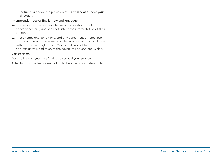instruct us and/or the provision by us of services under your direction.

#### Interpretation, use of English law and language

- 26. The headings used in these terms and conditions are for convenience only and shall not affect the interpretation of their contents.
- 27. These terms and conditions, and any agreement entered into in connection with the same, shall be interpreted in accordance with the laws of England and Wales and subject to the non-exclusive jurisdiction of the courts of England and Wales.

#### Cancellation

For a full refund you have 14 days to cancel your service.

After 14 days the fee for Annual Boiler Service is non-refundable.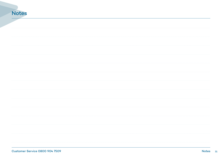# Notes